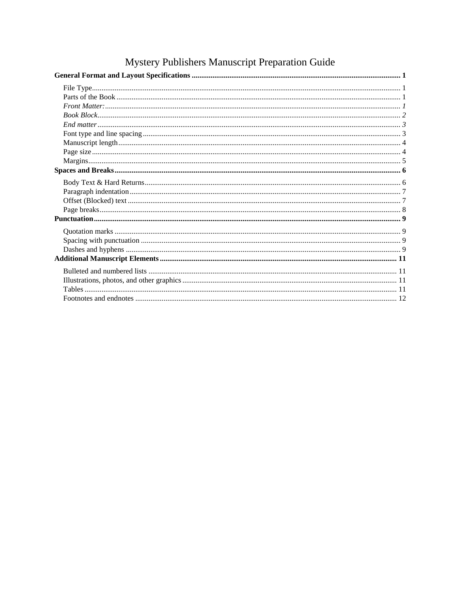# Mystery Publishers Manuscript Preparation Guide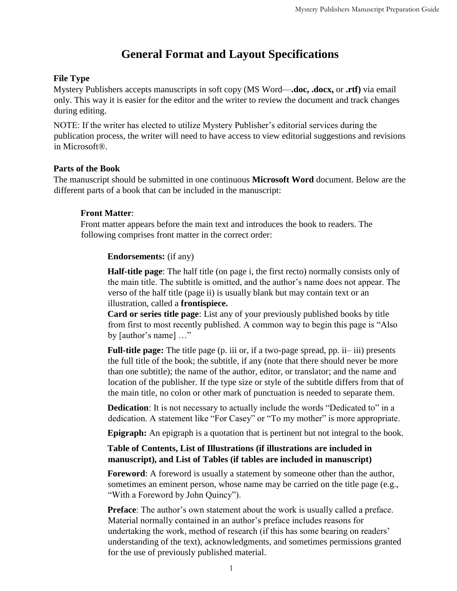## **General Format and Layout Specifications**

## <span id="page-1-1"></span><span id="page-1-0"></span>**File Type**

Mystery Publishers accepts manuscripts in soft copy (MS Word—**.doc, .docx,** or **.rtf)** via email only. This way it is easier for the editor and the writer to review the document and track changes during editing.

NOTE: If the writer has elected to utilize Mystery Publisher's editorial services during the publication process, the writer will need to have access to view editorial suggestions and revisions in Microsoft®.

#### <span id="page-1-2"></span>**Parts of the Book**

The manuscript should be submitted in one continuous **Microsoft Word** document. Below are the different parts of a book that can be included in the manuscript:

## <span id="page-1-3"></span>**Front Matter**:

Front matter appears before the main text and introduces the book to readers. The following comprises front matter in the correct order:

## **Endorsements:** (if any)

**Half-title page**: The half title (on page i, the first recto) normally consists only of the main title. The subtitle is omitted, and the author's name does not appear. The verso of the half title (page ii) is usually blank but may contain text or an illustration, called a **frontispiece.** 

**Card or series title page**: List any of your previously published books by title from first to most recently published. A common way to begin this page is "Also by [author's name] …"

**Full-title page:** The title page (p. iii or, if a two-page spread, pp. ii– iii) presents the full title of the book; the subtitle, if any (note that there should never be more than one subtitle); the name of the author, editor, or translator; and the name and location of the publisher. If the type size or style of the subtitle differs from that of the main title, no colon or other mark of punctuation is needed to separate them.

**Dedication**: It is not necessary to actually include the words "Dedicated to" in a dedication. A statement like "For Casey" or "To my mother" is more appropriate.

**Epigraph:** An epigraph is a quotation that is pertinent but not integral to the book.

## **Table of Contents, List of Illustrations (if illustrations are included in manuscript), and List of Tables (if tables are included in manuscript)**

**Foreword**: A foreword is usually a statement by someone other than the author, sometimes an eminent person, whose name may be carried on the title page (e.g., "With a Foreword by John Quincy").

**Preface**: The author's own statement about the work is usually called a preface. Material normally contained in an author's preface includes reasons for undertaking the work, method of research (if this has some bearing on readers' understanding of the text), acknowledgments, and sometimes permissions granted for the use of previously published material.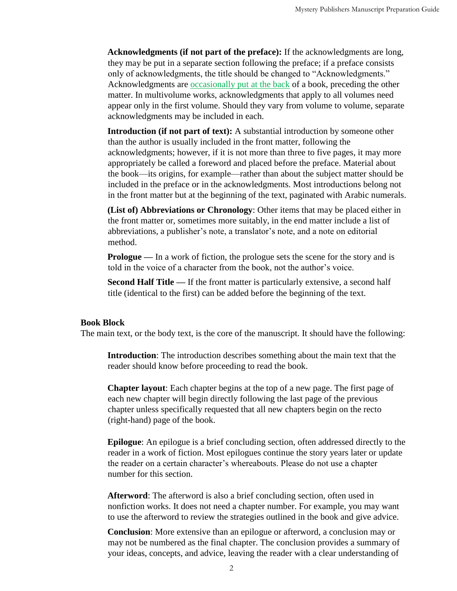**Acknowledgments (if not part of the preface):** If the acknowledgments are long, they may be put in a separate section following the preface; if a preface consists only of acknowledgments, the title should be changed to "Acknowledgments." Acknowledgments are **occasionally** put at the back of a book, preceding the other matter. In multivolume works, acknowledgments that apply to all volumes need appear only in the first volume. Should they vary from volume to volume, separate acknowledgments may be included in each.

**Introduction (if not part of text):** A substantial introduction by someone other than the author is usually included in the front matter, following the acknowledgments; however, if it is not more than three to five pages, it may more appropriately be called a foreword and placed before the preface. Material about the book—its origins, for example—rather than about the subject matter should be included in the preface or in the acknowledgments. Most introductions belong not in the front matter but at the beginning of the text, paginated with Arabic numerals.

**(List of) Abbreviations or Chronology**: Other items that may be placed either in the front matter or, sometimes more suitably, in the end matter include a list of abbreviations, a publisher's note, a translator's note, and a note on editorial method.

**Prologue** — In a work of fiction, the prologue sets the scene for the story and is told in the voice of a character from the book, not the author's voice.

**Second Half Title —** If the front matter is particularly extensive, a second half title (identical to the first) can be added before the beginning of the text.

#### <span id="page-2-0"></span>**Book Block**

The main text, or the body text, is the core of the manuscript. It should have the following:

**Introduction**: The introduction describes something about the main text that the reader should know before proceeding to read the book.

**Chapter layout**: Each chapter begins at the top of a new page. The first page of each new chapter will begin directly following the last page of the previous chapter unless specifically requested that all new chapters begin on the recto (right-hand) page of the book.

**Epilogue**: An epilogue is a brief concluding section, often addressed directly to the reader in a work of fiction. Most epilogues continue the story years later or update the reader on a certain character's whereabouts. Please do not use a chapter number for this section.

**Afterword**: The afterword is also a brief concluding section, often used in nonfiction works. It does not need a chapter number. For example, you may want to use the afterword to review the strategies outlined in the book and give advice.

**Conclusion**: More extensive than an epilogue or afterword, a conclusion may or may not be numbered as the final chapter. The conclusion provides a summary of your ideas, concepts, and advice, leaving the reader with a clear understanding of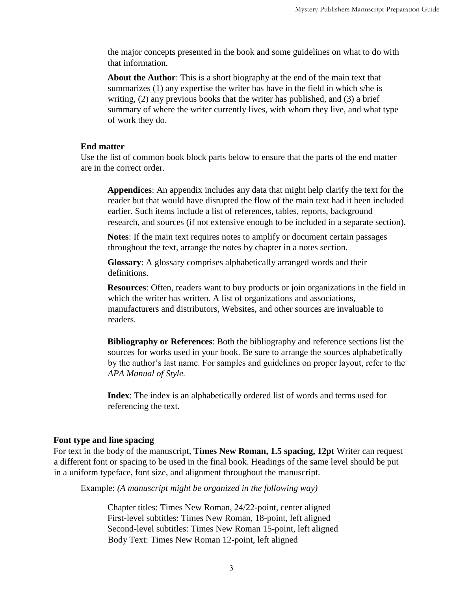the major concepts presented in the book and some guidelines on what to do with that information.

**About the Author**: This is a short biography at the end of the main text that summarizes (1) any expertise the writer has have in the field in which s/he is writing, (2) any previous books that the writer has published, and (3) a brief summary of where the writer currently lives, with whom they live, and what type of work they do.

#### <span id="page-3-0"></span>**End matter**

Use the list of common book block parts below to ensure that the parts of the end matter are in the correct order.

**Appendices**: An appendix includes any data that might help clarify the text for the reader but that would have disrupted the flow of the main text had it been included earlier. Such items include a list of references, tables, reports, background research, and sources (if not extensive enough to be included in a separate section).

**Notes**: If the main text requires notes to amplify or document certain passages throughout the text, arrange the notes by chapter in a notes section.

**Glossary**: A glossary comprises alphabetically arranged words and their definitions.

**Resources**: Often, readers want to buy products or join organizations in the field in which the writer has written. A list of organizations and associations, manufacturers and distributors, Websites, and other sources are invaluable to readers.

**Bibliography or References**: Both the bibliography and reference sections list the sources for works used in your book. Be sure to arrange the sources alphabetically by the author's last name. For samples and guidelines on proper layout, refer to the *APA Manual of Style.*

**Index**: The index is an alphabetically ordered list of words and terms used for referencing the text.

#### <span id="page-3-1"></span>**Font type and line spacing**

For text in the body of the manuscript, **Times New Roman, 1.5 spacing, 12pt** Writer can request a different font or spacing to be used in the final book. Headings of the same level should be put in a uniform typeface, font size, and alignment throughout the manuscript.

Example: *(A manuscript might be organized in the following way)*

Chapter titles: Times New Roman, 24/22-point, center aligned First-level subtitles: Times New Roman, 18-point, left aligned Second-level subtitles: Times New Roman 15-point, left aligned Body Text: Times New Roman 12-point, left aligned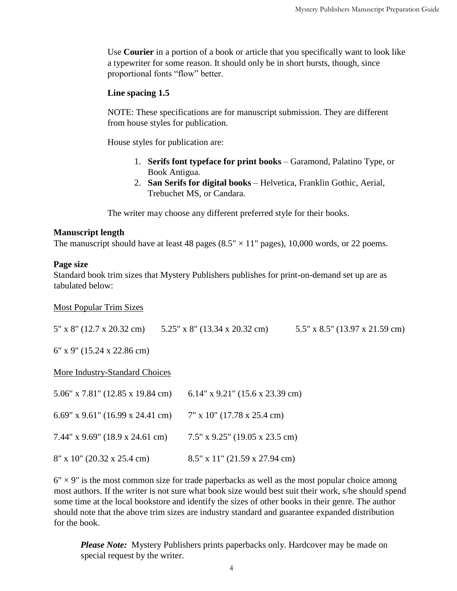Use **Courier** in a portion of a book or article that you specifically want to look like a typewriter for some reason. It should only be in short bursts, though, since proportional fonts "flow" better.

#### **Line spacing 1.5**

NOTE: These specifications are for manuscript submission. They are different from house styles for publication.

House styles for publication are:

- 1. **Serifs font typeface for print books** Garamond, Palatino Type, or Book Antigua.
- 2. **San Serifs for digital books** Helvetica, Franklin Gothic, Aerial, Trebuchet MS, or Candara.

The writer may choose any different preferred style for their books.

## <span id="page-4-0"></span>**Manuscript length**

The manuscript should have at least 48 pages  $(8.5" \times 11"$  pages), 10,000 words, or 22 poems.

## <span id="page-4-1"></span>**Page size**

Standard book trim sizes that Mystery Publishers publishes for print-on-demand set up are as tabulated below:

#### Most Popular Trim Sizes

5" x 8" (12.7 x 20.32 cm) 5.25" x 8" (13.34 x 20.32 cm) 5.5" x 8.5" (13.97 x 21.59 cm)

6" x 9" (15.24 x 22.86 cm)

#### More Industry-Standard Choices

| $5.06''$ x $7.81''$ (12.85 x 19.84 cm) | 6.14" x 9.21" (15.6 x 23.39 cm)   |
|----------------------------------------|-----------------------------------|
| 6.69" x 9.61" (16.99 x 24.41 cm)       | $7''$ x 10" (17.78 x 25.4 cm)     |
| 7.44" x 9.69" (18.9 x 24.61 cm)        | $7.5''$ x 9.25" (19.05 x 23.5 cm) |
| $8''$ x 10" (20.32 x 25.4 cm)          | $8.5''$ x 11" (21.59 x 27.94 cm)  |

 $6" \times 9"$  is the most common size for trade paperbacks as well as the most popular choice among most authors. If the writer is not sure what book size would best suit their work, s/he should spend some time at the local bookstore and identify the sizes of other books in their genre. The author should note that the above trim sizes are industry standard and guarantee expanded distribution for the book.

*Please Note:* Mystery Publishers prints paperbacks only. Hardcover may be made on special request by the writer.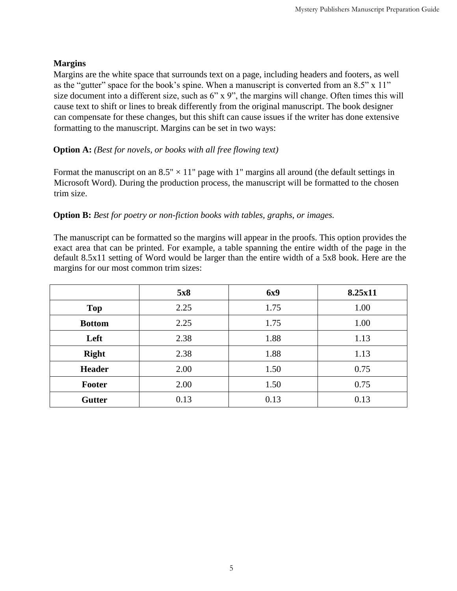## <span id="page-5-0"></span>**Margins**

Margins are the white space that surrounds text on a page, including headers and footers, as well as the "gutter" space for the book's spine. When a manuscript is converted from an 8.5" x 11" size document into a different size, such as 6" x 9", the margins will change. Often times this will cause text to shift or lines to break differently from the original manuscript. The book designer can compensate for these changes, but this shift can cause issues if the writer has done extensive formatting to the manuscript. Margins can be set in two ways:

## **Option A:** *(Best for novels, or books with all free flowing text)*

Format the manuscript on an  $8.5" \times 11"$  page with 1" margins all around (the default settings in Microsoft Word). During the production process, the manuscript will be formatted to the chosen trim size.

## **Option B:** *Best for poetry or non-fiction books with tables, graphs, or images.*

The manuscript can be formatted so the margins will appear in the proofs. This option provides the exact area that can be printed. For example, a table spanning the entire width of the page in the default 8.5x11 setting of Word would be larger than the entire width of a 5x8 book. Here are the margins for our most common trim sizes:

|               | 5x8  | <b>6x9</b> | 8.25x11 |
|---------------|------|------------|---------|
| <b>Top</b>    | 2.25 | 1.75       | 1.00    |
| <b>Bottom</b> | 2.25 | 1.75       | 1.00    |
| Left          | 2.38 | 1.88       | 1.13    |
| <b>Right</b>  | 2.38 | 1.88       | 1.13    |
| <b>Header</b> | 2.00 | 1.50       | 0.75    |
| <b>Footer</b> | 2.00 | 1.50       | 0.75    |
| <b>Gutter</b> | 0.13 | 0.13       | 0.13    |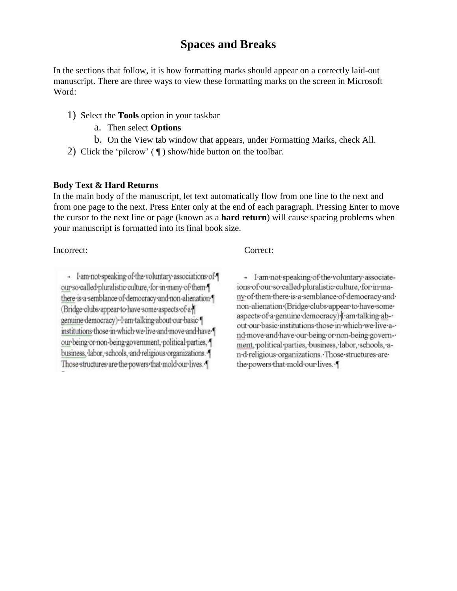## **Spaces and Breaks**

<span id="page-6-0"></span>In the sections that follow, it is how formatting marks should appear on a correctly laid-out manuscript. There are three ways to view these formatting marks on the screen in Microsoft Word:

- 1) Select the **Tools** option in your taskbar
	- a. Then select **Options**
	- b. On the View tab window that appears, under Formatting Marks, check All.
- 2) Click the 'pilcrow' ( ¶ ) show/hide button on the toolbar.

#### <span id="page-6-1"></span>**Body Text & Hard Returns**

In the main body of the manuscript, let text automatically flow from one line to the next and from one page to the next. Press Enter only at the end of each paragraph. Pressing Enter to move the cursor to the next line or page (known as a **hard return**) will cause spacing problems when your manuscript is formatted into its final book size.

Incorrect: Correct:

- I am not speaking of the voluntary associations of \[ our so called pluralistic culture, for in many of them { there is a semblance of democracy and non-alienation [ (Bridge-clubs-appear-to-have-some-aspects-of-agenuine-democracy)--I-am-talking-about-our-basicinstitutions those in which we live and move and have [ our being or non-being government, political parties, { business, labor, schools, and religious organizations. Those structures are the powers that mold our lives. [

- I-am-not-speaking-of-the-voluntary-associateions of our so called pluralistic culture, for in many·of·them·there·is·a·semblance·of·democracy·and· non-alienation (Bridge clubs appear to have some aspects of a genuine democracy) [ am talking about our basic institutions those in which we live and-move-and-have-our-being-or-non-being-govern-ment, political parties, business, labor, schools, an-d-religious-organizations. Those structures arethe powers that mold our lives.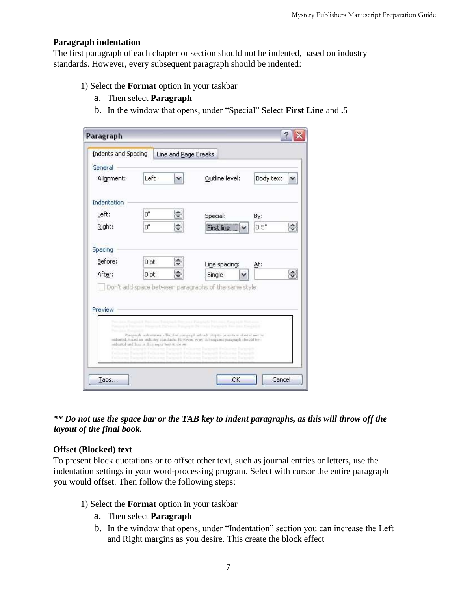#### <span id="page-7-0"></span>**Paragraph indentation**

The first paragraph of each chapter or section should not be indented, based on industry standards. However, every subsequent paragraph should be indented:

- 1) Select the **Format** option in your taskbar
	- a. Then select **Paragraph**
	- b. In the window that opens, under "Special" Select **First Line** and **.5**

| Indents and Spacing<br>General |                                                | Line and Page Breaks |                                                                                                                                                                              |                                                                         |                    |
|--------------------------------|------------------------------------------------|----------------------|------------------------------------------------------------------------------------------------------------------------------------------------------------------------------|-------------------------------------------------------------------------|--------------------|
| Alignment:                     | Left                                           | v                    | Outline level:                                                                                                                                                               | Body text                                                               | ×                  |
| Indentation                    |                                                |                      |                                                                                                                                                                              |                                                                         |                    |
| Left:                          | Ω"                                             | v.                   | Special:                                                                                                                                                                     | By:                                                                     |                    |
| Right:                         | Ū.,                                            | $\div$               | First line                                                                                                                                                                   | 0.5"                                                                    | $\hat{\zeta}$      |
| After:                         | 0 <sub>pt</sub>                                | ÷                    | Single                                                                                                                                                                       |                                                                         | $\ddot{\ddot{\ }}$ |
| Before:                        | 0 <sub>pt</sub>                                | $\div$               | Line spacing:                                                                                                                                                                | At:                                                                     |                    |
|                                |                                                |                      | Don't add space between paragraphs of the same style                                                                                                                         |                                                                         |                    |
| Preview                        |                                                |                      |                                                                                                                                                                              |                                                                         |                    |
|                                |                                                |                      | ing Charl Land University Determined Publishers (March Party) and Historican<br>Concert Fortuna Program Fortuna Program Personal Particular Fortuna Concerta                 |                                                                         |                    |
|                                | and earted und here as the proper way to do so |                      | Parassanh indentition - The first parassanh of malt chapter or section skutchl not be<br>indented, tused on industry standards. However, every subsequent panameth should be |                                                                         |                    |
|                                |                                                |                      | Scame Parentill Federator Parentill Federator Parentill Federator Parentilli<br>Fellomen Datength Fellomen Datength Fellomen Datength Fellomen Datength                      | Felixane Datenall Felixane Datenall Felixane Datenall Felixane Datenall |                    |

*\*\* Do not use the space bar or the TAB key to indent paragraphs, as this will throw off the layout of the final book.* 

#### <span id="page-7-1"></span>**Offset (Blocked) text**

To present block quotations or to offset other text, such as journal entries or letters, use the indentation settings in your word-processing program. Select with cursor the entire paragraph you would offset. Then follow the following steps:

- 1) Select the **Format** option in your taskbar
	- a. Then select **Paragraph**
	- b. In the window that opens, under "Indentation" section you can increase the Left and Right margins as you desire. This create the block effect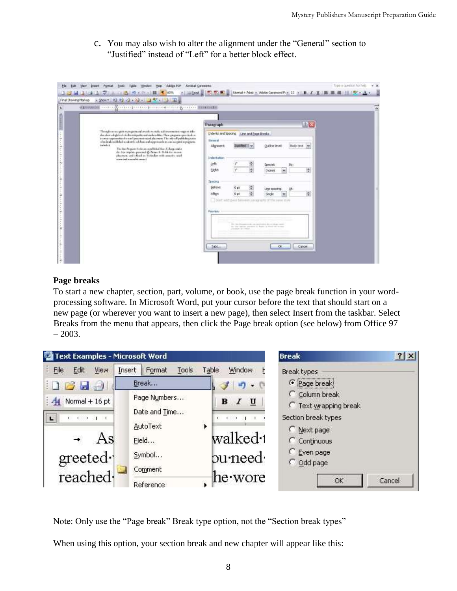c. You may also wish to alter the alignment under the "General" section to "Justified" instead of "Left" for a better block effect.



## <span id="page-8-0"></span>**Page breaks**

To start a new chapter, section, part, volume, or book, use the page break function in your wordprocessing software. In Microsoft Word, put your cursor before the text that should start on a new page (or wherever you want to insert a new page), then select Insert from the taskbar. Select Breaks from the menu that appears, then click the Page break option (see below) from Office 97  $-2003.$ 



Note: Only use the "Page break" Break type option, not the "Section break types"

When using this option, your section break and new chapter will appear like this: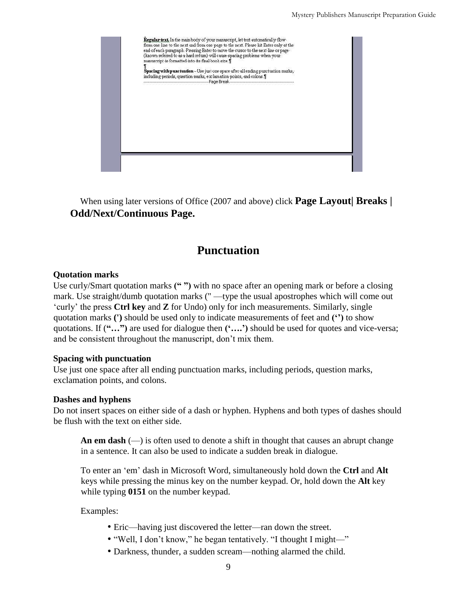

When using later versions of Office (2007 and above) click **Page Layout| Breaks | Odd/Next/Continuous Page.**

## **Punctuation**

## <span id="page-9-1"></span><span id="page-9-0"></span>**Quotation marks**

<span id="page-9-2"></span>Use curly/Smart quotation marks **(" ")** with no space after an opening mark or before a closing mark. Use straight/dumb quotation marks (" —type the usual apostrophes which will come out 'curly' the press **Ctrl key** and **Z** for Undo) only for inch measurements. Similarly, single quotation marks **(')** should be used only to indicate measurements of feet and **('')** to show quotations. If (**"…")** are used for dialogue then **('….')** should be used for quotes and vice-versa; and be consistent throughout the manuscript, don't mix them.

#### **Spacing with punctuation**

Use just one space after all ending punctuation marks, including periods, question marks, exclamation points, and colons.

## <span id="page-9-3"></span>**Dashes and hyphens**

Do not insert spaces on either side of a dash or hyphen. Hyphens and both types of dashes should be flush with the text on either side.

**An em dash** (—) is often used to denote a shift in thought that causes an abrupt change in a sentence. It can also be used to indicate a sudden break in dialogue.

To enter an 'em' dash in Microsoft Word, simultaneously hold down the **Ctrl** and **Alt**  keys while pressing the minus key on the number keypad. Or, hold down the **Alt** key while typing **0151** on the number keypad.

Examples:

- Eric—having just discovered the letter—ran down the street.
- "Well, I don't know," he began tentatively. "I thought I might—"
- Darkness, thunder, a sudden scream—nothing alarmed the child.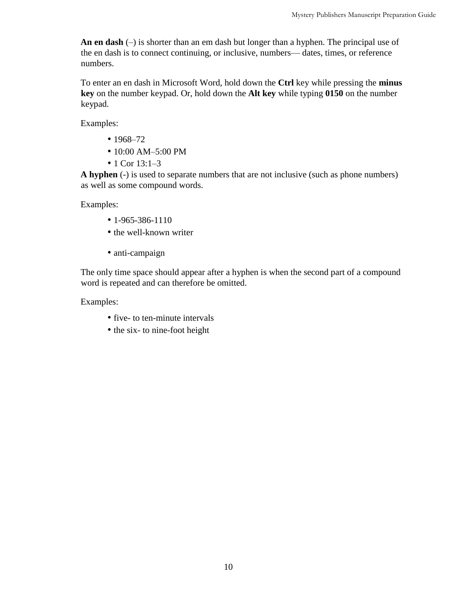**An en dash** (–) is shorter than an em dash but longer than a hyphen. The principal use of the en dash is to connect continuing, or inclusive, numbers— dates, times, or reference numbers.

To enter an en dash in Microsoft Word, hold down the **Ctrl** key while pressing the **minus key** on the number keypad. Or, hold down the **Alt key** while typing **0150** on the number keypad.

Examples:

- 1968–72
- 10:00 AM-5:00 PM
- 1 Cor 13:1–3

**A hyphen** (-) is used to separate numbers that are not inclusive (such as phone numbers) as well as some compound words.

Examples:

- $1 965 386 1110$
- the well-known writer
- anti-campaign

The only time space should appear after a hyphen is when the second part of a compound word is repeated and can therefore be omitted.

Examples:

- five- to ten-minute intervals
- the six-to nine-foot height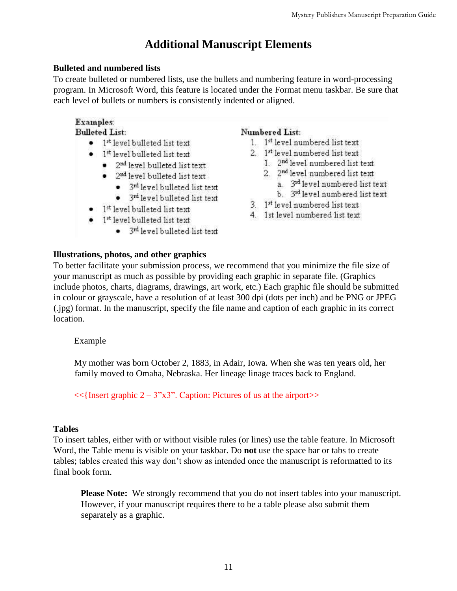## **Additional Manuscript Elements**

## <span id="page-11-1"></span><span id="page-11-0"></span>**Bulleted and numbered lists**

To create bulleted or numbered lists, use the bullets and numbering feature in word-processing program. In Microsoft Word, this feature is located under the Format menu taskbar. Be sure that each level of bullets or numbers is consistently indented or aligned.

## Examples:

**Bulleted List:** 

- $\bullet$  1<sup>st</sup> level bulleted list text
- $\bullet$  1<sup>st</sup> level bulleted list text
	- $\bullet$  2<sup>nd</sup> level bulleted list text
	- $\bullet$  2<sup>nd</sup> level bulleted list text
		- 3<sup>rd</sup> level bulleted list text
		- 3<sup>rd</sup> level bulleted list text
- $\bullet$  1<sup>st</sup> level bulleted list text
- 1st level bulleted list text
	- 3rd level bulleted list text

## Numbered List:

- 1. 1st level numbered list text
- 2. 1st level numbered list text
	- 1. 2<sup>nd</sup> level numbered list text
	- 2. 2<sup>nd</sup> level numbered list text
		- a. 3<sup>rd</sup> level numbered list text
		- b. 3rd level numbered list text
- 3. 1st level numbered list text
- 4. 1st level numbered list text

## <span id="page-11-2"></span>**Illustrations, photos, and other graphics**

To better facilitate your submission process, we recommend that you minimize the file size of your manuscript as much as possible by providing each graphic in separate file. (Graphics include photos, charts, diagrams, drawings, art work, etc.) Each graphic file should be submitted in colour or grayscale, have a resolution of at least 300 dpi (dots per inch) and be PNG or JPEG (.jpg) format. In the manuscript, specify the file name and caption of each graphic in its correct location.

## Example

My mother was born October 2, 1883, in Adair, Iowa. When she was ten years old, her family moved to Omaha, Nebraska. Her lineage linage traces back to England.

 $<<$ {Insert graphic 2 – 3"x3". Caption: Pictures of us at the airport>>

## <span id="page-11-3"></span>**Tables**

To insert tables, either with or without visible rules (or lines) use the table feature. In Microsoft Word, the Table menu is visible on your taskbar. Do **not** use the space bar or tabs to create tables; tables created this way don't show as intended once the manuscript is reformatted to its final book form.

**Please Note:** We strongly recommend that you do not insert tables into your manuscript. However, if your manuscript requires there to be a table please also submit them separately as a graphic.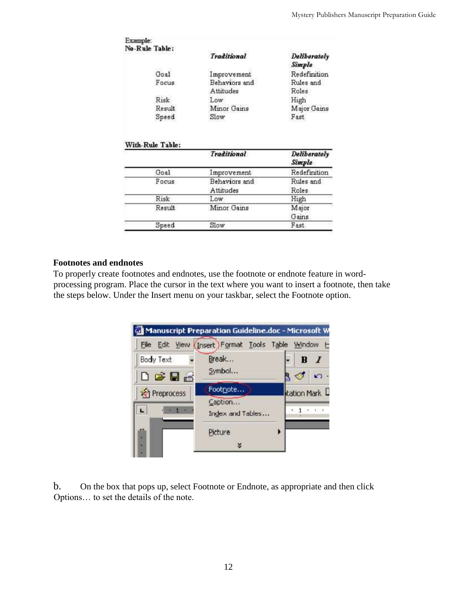| Example:<br>No-Rule Table: |                                   |                                        |  |
|----------------------------|-----------------------------------|----------------------------------------|--|
|                            | <b>Traditional</b>                | Deliberately<br>Simple<br>Redefinition |  |
| Goal<br>Focus.             | Improvement                       |                                        |  |
|                            | Behaviors and<br>Attitudes<br>Low | Rules and<br>Roles<br>High             |  |
| Risk                       |                                   |                                        |  |
| Result                     | Minor Gains                       | Major Gains                            |  |
| Speed                      | Slow                              | Fast                                   |  |
|                            |                                   |                                        |  |
| With-Rule Table:           | <b>Traditional</b>                | Deliberately<br>Simple                 |  |
| Goal                       |                                   | Redefinition                           |  |
| Focus                      | Improvement<br>Behaviors and      | Rules and                              |  |
|                            | Attitudes                         | Roles                                  |  |
| <b>Risk</b>                | Low                               | High                                   |  |
| Result                     | Minor Gains                       | Major                                  |  |
|                            |                                   | Gains                                  |  |

#### <span id="page-12-0"></span>**Footnotes and endnotes**

To properly create footnotes and endnotes, use the footnote or endnote feature in wordprocessing program. Place the cursor in the text where you want to insert a footnote, then take the steps below. Under the Insert menu on your taskbar, select the Footnote option.



b. On the box that pops up, select Footnote or Endnote, as appropriate and then click Options… to set the details of the note.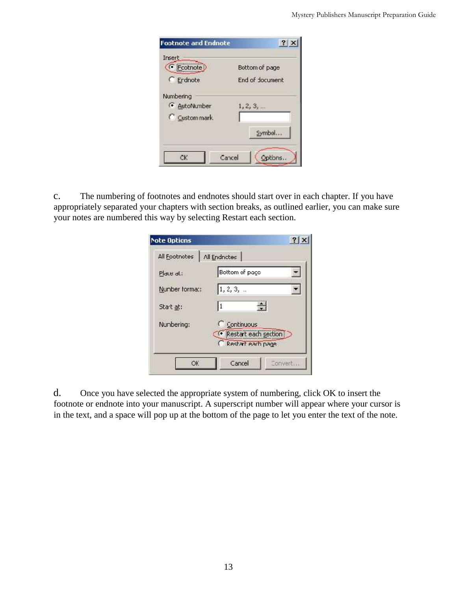| <b>Footnote and Endnote</b> | $?$ $\times$    |
|-----------------------------|-----------------|
| Insert                      |                 |
| C Ecotnote                  | Bottom of page  |
| C Erdnote                   | End of document |
| Numbering                   |                 |
| 4 AutoNumber                | 1, 2, 3,        |
| C Custom mark               |                 |
|                             | Symbol          |
|                             |                 |
| Cancel                      | tions           |

c. The numbering of footnotes and endnotes should start over in each chapter. If you have appropriately separated your chapters with section breaks, as outlined earlier, you can make sure your notes are numbered this way by selecting Restart each section.

| <b>Note Options</b> |                                           |
|---------------------|-------------------------------------------|
| All Footnotes       | All Endnotes                              |
| Place al:           | Bottom of pace                            |
| Nunber forma::      | 1, 2, 3,                                  |
| Start at:           | l1                                        |
| Nunbering:          | C Continuous                              |
|                     | Restart each section<br>Restart each page |
| OK.                 | Cancel<br>Convert                         |

d. Once you have selected the appropriate system of numbering, click OK to insert the footnote or endnote into your manuscript. A superscript number will appear where your cursor is in the text, and a space will pop up at the bottom of the page to let you enter the text of the note.